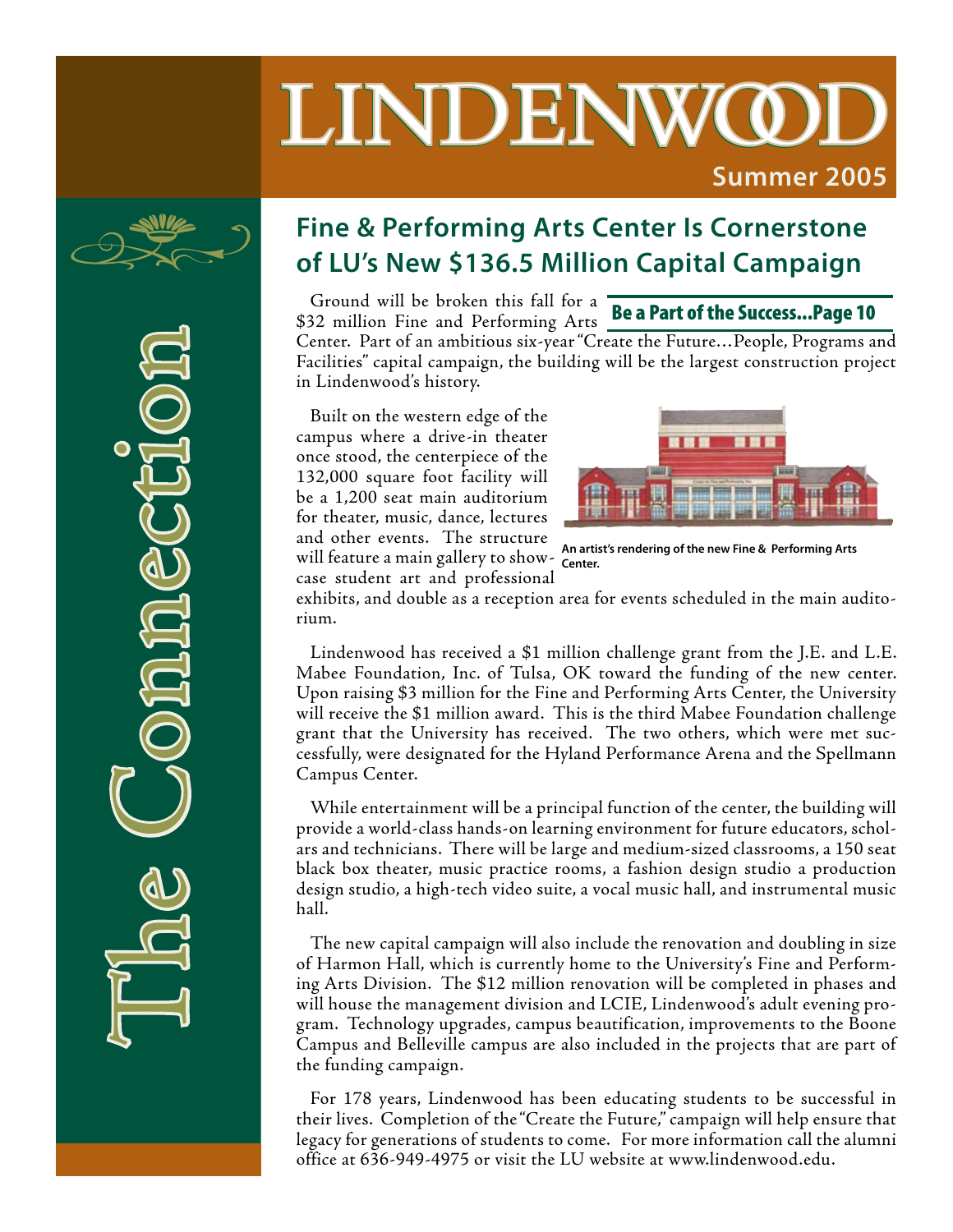# LINDENWO **Summer 2005**



The Connaection

### **Fine & Performing Arts Center Is Cornerstone of LU's New \$136.5 Million Capital Campaign**

Ground will be broken this fall for a \$32 million Fine and Performing Arts

Be a Part of the Success...Page 10

Center. Part of an ambitious six-year "Create the Future…People, Programs and Facilities" capital campaign, the building will be the largest construction project in Lindenwood's history.

Built on the western edge of the campus where a drive-in theater once stood, the centerpiece of the 132,000 square foot facility will be a 1,200 seat main auditorium for theater, music, dance, lectures and other events. The structure will feature a main gallery to show-**Center.**case student art and professional



**An artist's rendering of the new Fine & Performing Arts** 

exhibits, and double as a reception area for events scheduled in the main auditorium.

Lindenwood has received a \$1 million challenge grant from the J.E. and L.E. Mabee Foundation, Inc. of Tulsa, OK toward the funding of the new center. Upon raising \$3 million for the Fine and Performing Arts Center, the University will receive the \$1 million award. This is the third Mabee Foundation challenge grant that the University has received. The two others, which were met successfully, were designated for the Hyland Performance Arena and the Spellmann Campus Center.

While entertainment will be a principal function of the center, the building will provide a world-class hands-on learning environment for future educators, scholars and technicians. There will be large and medium-sized classrooms, a 150 seat black box theater, music practice rooms, a fashion design studio a production design studio, a high-tech video suite, a vocal music hall, and instrumental music hall.

The new capital campaign will also include the renovation and doubling in size of Harmon Hall, which is currently home to the University's Fine and Performing Arts Division. The \$12 million renovation will be completed in phases and will house the management division and LCIE, Lindenwood's adult evening program. Technology upgrades, campus beautification, improvements to the Boone Campus and Belleville campus are also included in the projects that are part of the funding campaign.

For 178 years, Lindenwood has been educating students to be successful in their lives. Completion of the "Create the Future," campaign will help ensure that legacy for generations of students to come. For more information call the alumni office at 636-949-4975 or visit the LU website at www.lindenwood.edu.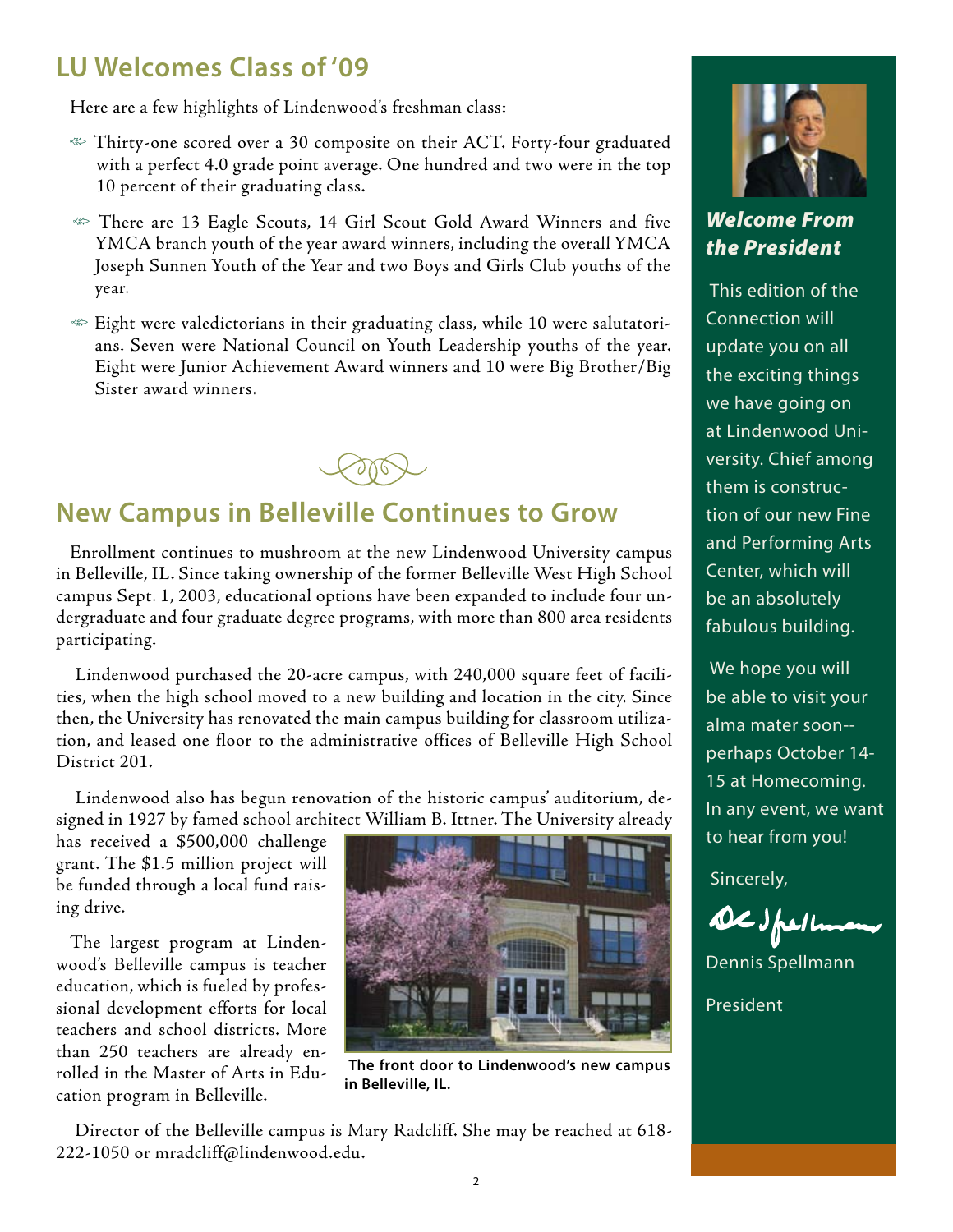#### **LU Welcomes Class of '09**

Here are a few highlights of Lindenwood's freshman class:

- $\ll$  Thirty-one scored over a 30 composite on their ACT. Forty-four graduated with a perfect 4.0 grade point average. One hundred and two were in the top 10 percent of their graduating class.
- There are 13 Eagle Scouts, 14 Girl Scout Gold Award Winners and five YMCA branch youth of the year award winners, including the overall YMCA Joseph Sunnen Youth of the Year and two Boys and Girls Club youths of the year.
- Eight were valedictorians in their graduating class, while 10 were salutatorians. Seven were National Council on Youth Leadership youths of the year. Eight were Junior Achievement Award winners and 10 were Big Brother/Big Sister award winners.



### **New Campus in Belleville Continues to Grow**

Enrollment continues to mushroom at the new Lindenwood University campus in Belleville, IL. Since taking ownership of the former Belleville West High School campus Sept. 1, 2003, educational options have been expanded to include four undergraduate and four graduate degree programs, with more than 800 area residents participating.

 Lindenwood purchased the 20-acre campus, with 240,000 square feet of facilities, when the high school moved to a new building and location in the city. Since then, the University has renovated the main campus building for classroom utilization, and leased one floor to the administrative offices of Belleville High School District 201.

 Lindenwood also has begun renovation of the historic campus' auditorium, designed in 1927 by famed school architect William B. Ittner. The University already

has received a \$500,000 challenge grant. The \$1.5 million project will be funded through a local fund raising drive.

The largest program at Lindenwood's Belleville campus is teacher education, which is fueled by professional development efforts for local teachers and school districts. More than 250 teachers are already enrolled in the Master of Arts in Education program in Belleville.



 **The front door to Lindenwood's new campus in Belleville, IL.**

 Director of the Belleville campus is Mary Radcliff. She may be reached at 618- 222-1050 or mradcliff@lindenwood.edu.



#### *Welcome From the President*

 This edition of the Connection will update you on all the exciting things we have going on at Lindenwood University. Chief among them is construction of our new Fine and Performing Arts Center, which will be an absolutely fabulous building.

 We hope you will be able to visit your alma mater soon- perhaps October 14- 15 at Homecoming. In any event, we want to hear from you!

Sincerely,

DESpelle

Dennis Spellmann President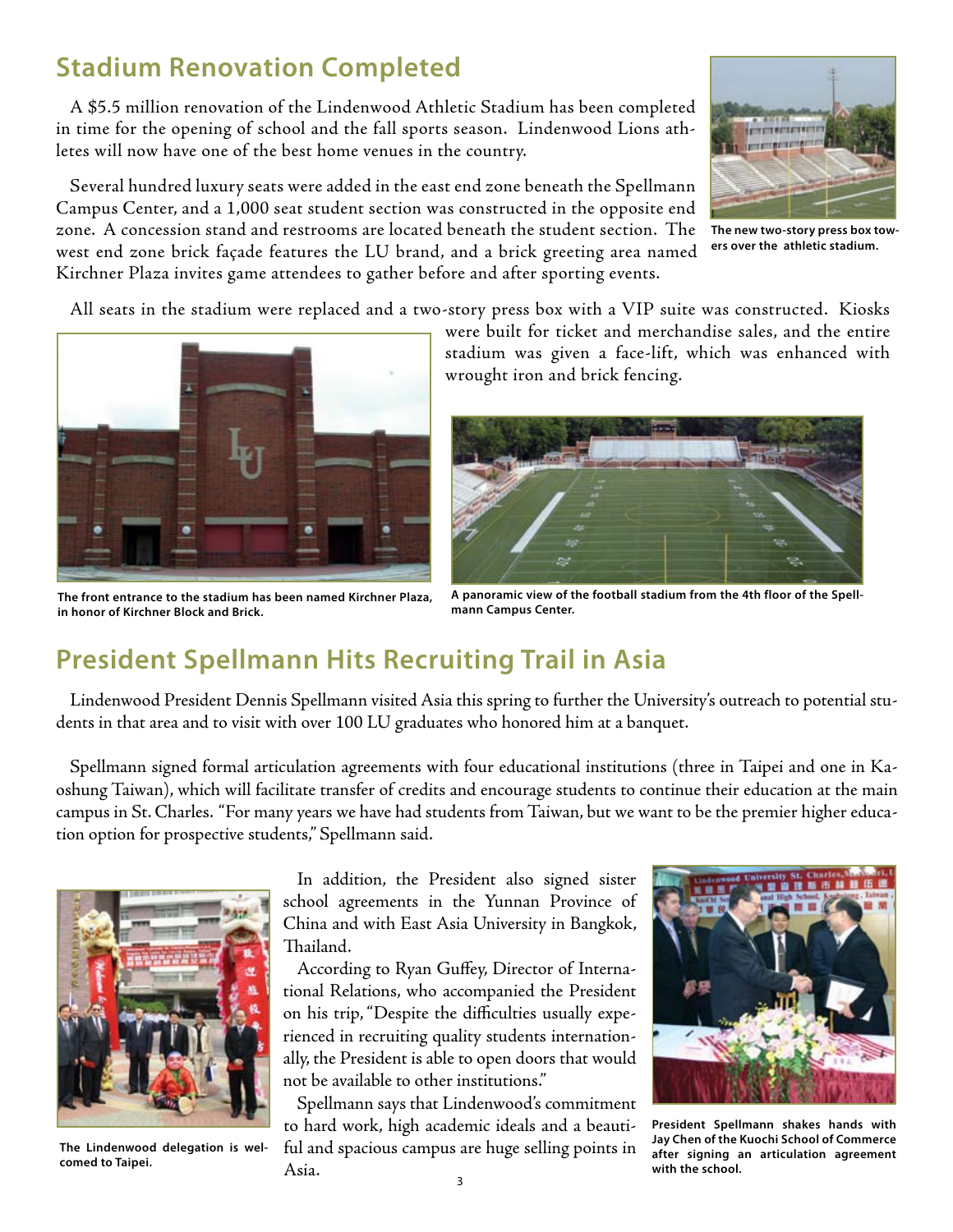#### **Stadium Renovation Completed**

A \$5.5 million renovation of the Lindenwood Athletic Stadium has been completed in time for the opening of school and the fall sports season. Lindenwood Lions athletes will now have one of the best home venues in the country.

Several hundred luxury seats were added in the east end zone beneath the Spellmann Campus Center, and a 1,000 seat student section was constructed in the opposite end zone. A concession stand and restrooms are located beneath the student section. The west end zone brick façade features the LU brand, and a brick greeting area named Kirchner Plaza invites game attendees to gather before and after sporting events.



**The new two-story press box towers over the athletic stadium.**

All seats in the stadium were replaced and a two-story press box with a VIP suite was constructed. Kiosks



**The front entrance to the stadium has been named Kirchner Plaza, in honor of Kirchner Block and Brick.**

were built for ticket and merchandise sales, and the entire stadium was given a face-lift, which was enhanced with wrought iron and brick fencing.



**A panoramic view of the football stadium from the 4th floor of the Spellmann Campus Center.**

### **President Spellmann Hits Recruiting Trail in Asia**

Lindenwood President Dennis Spellmann visited Asia this spring to further the University's outreach to potential students in that area and to visit with over 100 LU graduates who honored him at a banquet.

Spellmann signed formal articulation agreements with four educational institutions (three in Taipei and one in Kaoshung Taiwan), which will facilitate transfer of credits and encourage students to continue their education at the main campus in St. Charles. "For many years we have had students from Taiwan, but we want to be the premier higher education option for prospective students," Spellmann said.



**The Lindenwood delegation is welcomed to Taipei.** 

In addition, the President also signed sister school agreements in the Yunnan Province of China and with East Asia University in Bangkok, Thailand.

According to Ryan Guffey, Director of International Relations, who accompanied the President on his trip, "Despite the difficulties usually experienced in recruiting quality students internationally, the President is able to open doors that would not be available to other institutions."

Spellmann says that Lindenwood's commitment to hard work, high academic ideals and a beautiful and spacious campus are huge selling points in Asia.



**President Spellmann shakes hands with Jay Chen of the Kuochi School of Commerce after signing an articulation agreement with the school.**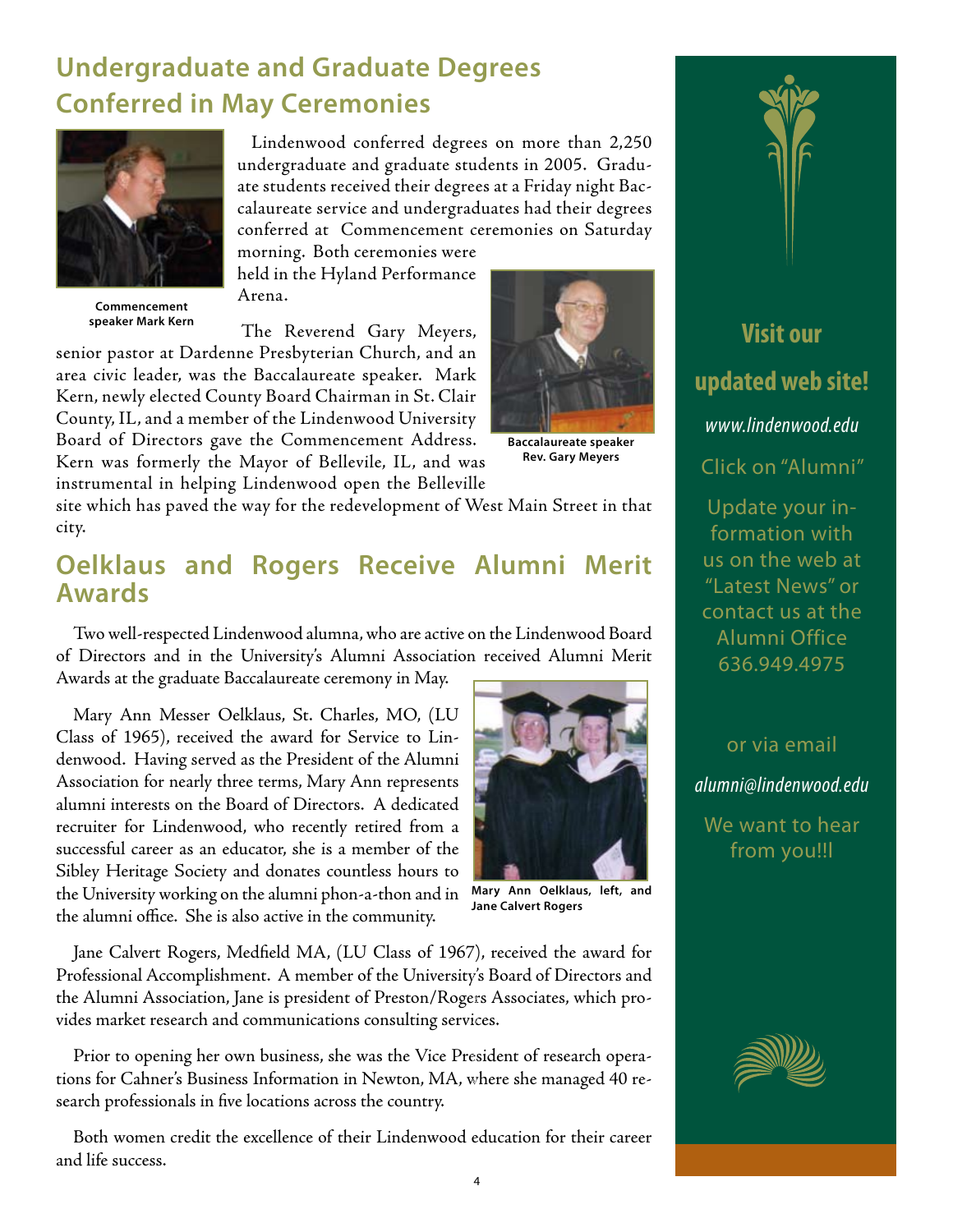### **Undergraduate and Graduate Degrees Conferred in May Ceremonies**



**Commencement speaker Mark Kern**

Lindenwood conferred degrees on more than 2,250 undergraduate and graduate students in 2005. Graduate students received their degrees at a Friday night Baccalaureate service and undergraduates had their degrees conferred at Commencement ceremonies on Saturday

morning. Both ceremonies were held in the Hyland Performance Arena.

The Reverend Gary Meyers,

senior pastor at Dardenne Presbyterian Church, and an area civic leader, was the Baccalaureate speaker. Mark Kern, newly elected County Board Chairman in St. Clair County, IL, and a member of the Lindenwood University Board of Directors gave the Commencement Address. Kern was formerly the Mayor of Bellevile, IL, and was

instrumental in helping Lindenwood open the Belleville



**Baccalaureate speaker Rev. Gary Meyers**

site which has paved the way for the redevelopment of West Main Street in that city.

#### **Oelklaus and Rogers Receive Alumni Merit Awards**

Two well-respected Lindenwood alumna, who are active on the Lindenwood Board of Directors and in the University's Alumni Association received Alumni Merit Awards at the graduate Baccalaureate ceremony in May.

Mary Ann Messer Oelklaus, St. Charles, MO, (LU Class of 1965), received the award for Service to Lindenwood. Having served as the President of the Alumni Association for nearly three terms, Mary Ann represents alumni interests on the Board of Directors. A dedicated recruiter for Lindenwood, who recently retired from a successful career as an educator, she is a member of the Sibley Heritage Society and donates countless hours to the University working on the alumni phon-a-thon and in the alumni office. She is also active in the community.



**Mary Ann Oelklaus, left, and Jane Calvert Rogers** 

Jane Calvert Rogers, Medfield MA, (LU Class of 1967), received the award for Professional Accomplishment. A member of the University's Board of Directors and the Alumni Association, Jane is president of Preston/Rogers Associates, which provides market research and communications consulting services.

Prior to opening her own business, she was the Vice President of research operations for Cahner's Business Information in Newton, MA, where she managed 40 research professionals in five locations across the country.

Both women credit the excellence of their Lindenwood education for their career and life success.



or via email

*alumni@lindenwood.edu*

We want to hear from you!!l

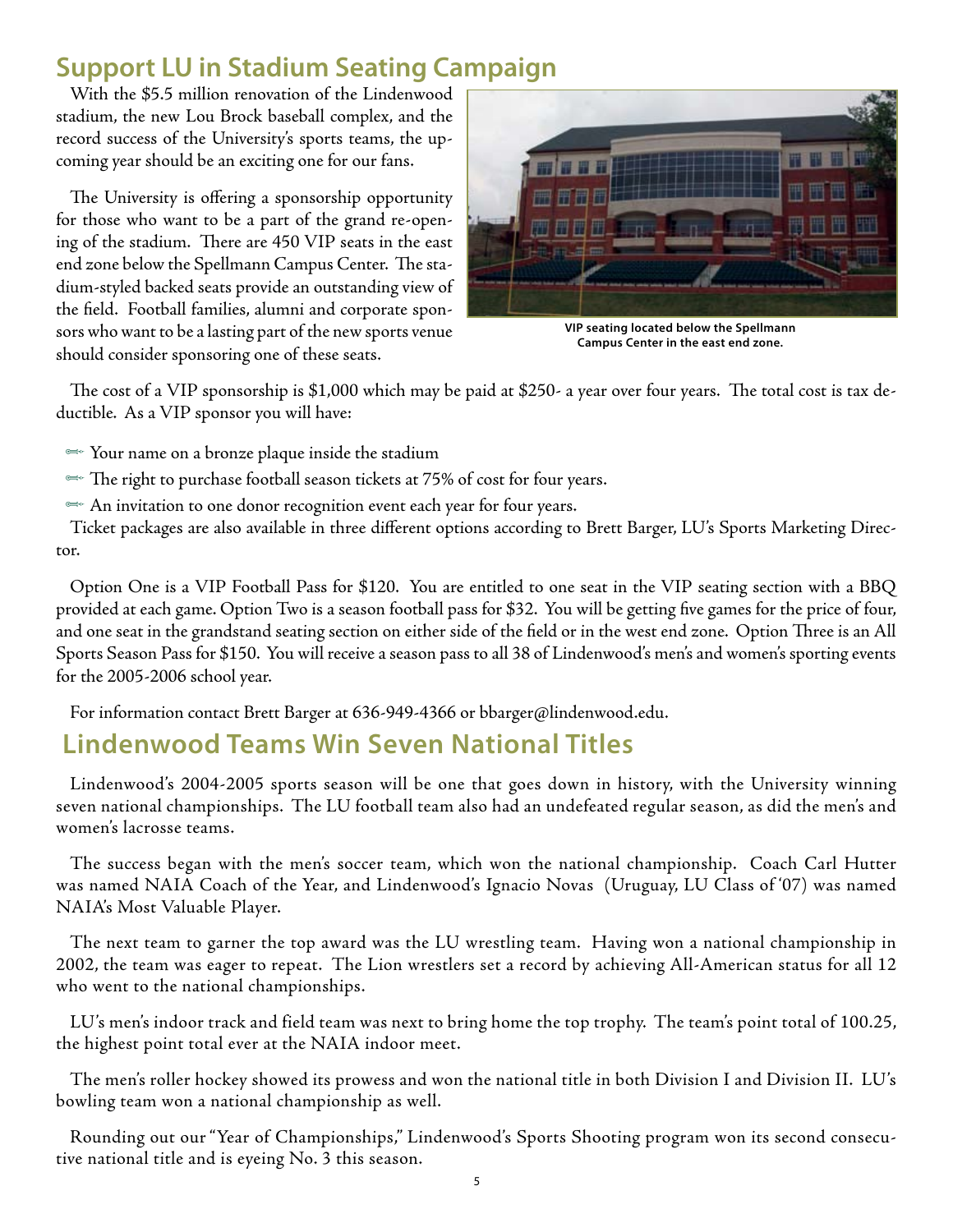### **Support LU in Stadium Seating Campaign**

With the \$5.5 million renovation of the Lindenwood stadium, the new Lou Brock baseball complex, and the record success of the University's sports teams, the upcoming year should be an exciting one for our fans.

The University is offering a sponsorship opportunity for those who want to be a part of the grand re-opening of the stadium. There are 450 VIP seats in the east end zone below the Spellmann Campus Center. The stadium-styled backed seats provide an outstanding view of the field. Football families, alumni and corporate sponsors who want to be a lasting part of the new sports venue should consider sponsoring one of these seats.



**VIP seating located below the Spellmann Campus Center in the east end zone.**

The cost of a VIP sponsorship is \$1,000 which may be paid at \$250- a year over four years. The total cost is tax deductible. As a VIP sponsor you will have:

- $\iff$  Your name on a bronze plaque inside the stadium
- $\cong$  The right to purchase football season tickets at 75% of cost for four years.
- $\cong$  An invitation to one donor recognition event each year for four years.

Ticket packages are also available in three different options according to Brett Barger, LU's Sports Marketing Director.

Option One is a VIP Football Pass for \$120. You are entitled to one seat in the VIP seating section with a BBQ provided at each game. Option Two is a season football pass for \$32. You will be getting five games for the price of four, and one seat in the grandstand seating section on either side of the field or in the west end zone. Option Three is an All Sports Season Pass for \$150. You will receive a season pass to all 38 of Lindenwood's men's and women's sporting events for the 2005-2006 school year.

For information contact Brett Barger at 636-949-4366 or bbarger@lindenwood.edu.

#### **Lindenwood Teams Win Seven National Titles**

Lindenwood's 2004-2005 sports season will be one that goes down in history, with the University winning seven national championships. The LU football team also had an undefeated regular season, as did the men's and women's lacrosse teams.

The success began with the men's soccer team, which won the national championship. Coach Carl Hutter was named NAIA Coach of the Year, and Lindenwood's Ignacio Novas (Uruguay, LU Class of '07) was named NAIA's Most Valuable Player.

The next team to garner the top award was the LU wrestling team. Having won a national championship in 2002, the team was eager to repeat. The Lion wrestlers set a record by achieving All-American status for all 12 who went to the national championships.

LU's men's indoor track and field team was next to bring home the top trophy. The team's point total of 100.25, the highest point total ever at the NAIA indoor meet.

The men's roller hockey showed its prowess and won the national title in both Division I and Division II. LU's bowling team won a national championship as well.

Rounding out our "Year of Championships," Lindenwood's Sports Shooting program won its second consecutive national title and is eyeing No. 3 this season.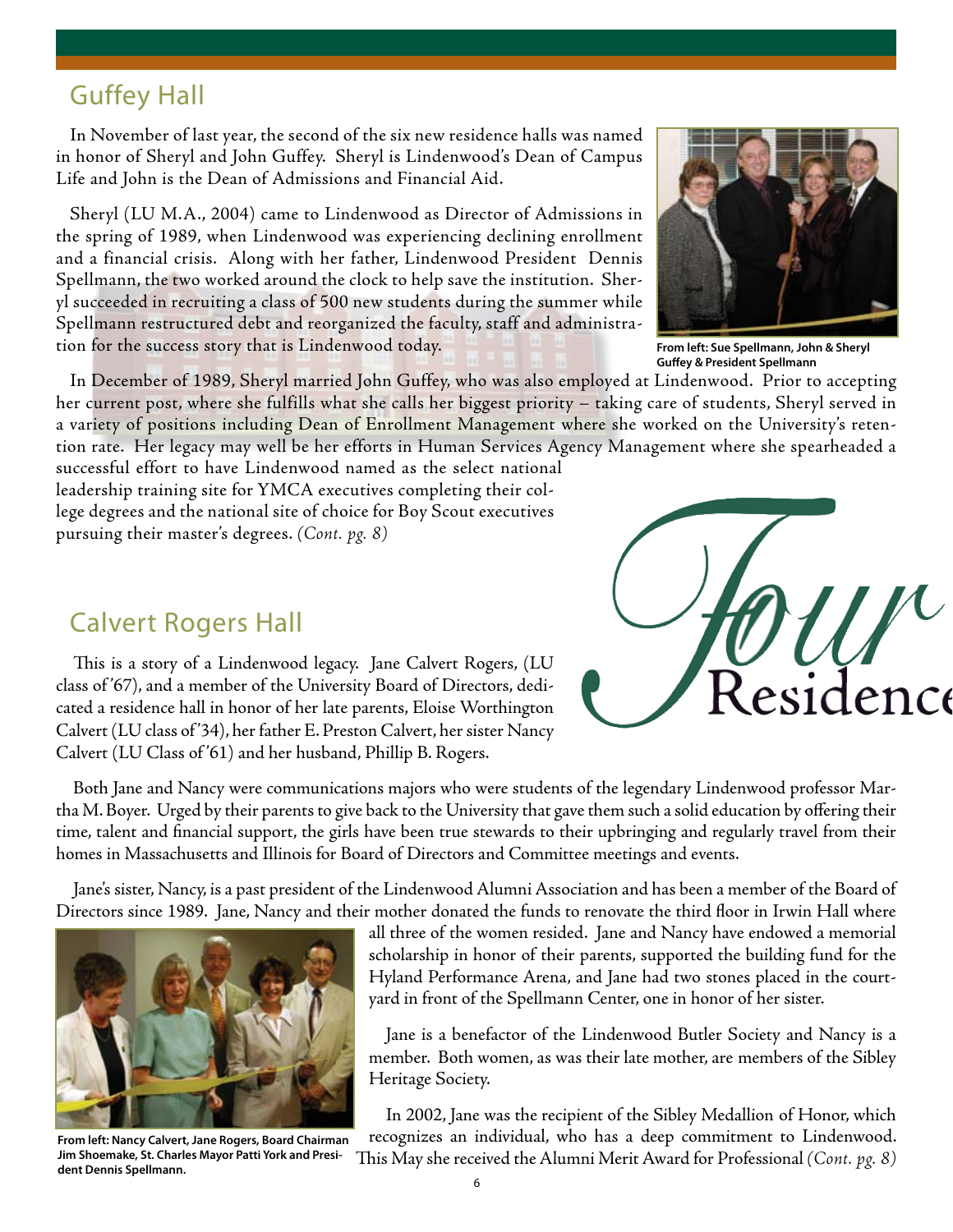#### Guffey Hall

In November of last year, the second of the six new residence halls was named in honor of Sheryl and John Guffey. Sheryl is Lindenwood's Dean of Campus Life and John is the Dean of Admissions and Financial Aid.

Sheryl (LU M.A., 2004) came to Lindenwood as Director of Admissions in the spring of 1989, when Lindenwood was experiencing declining enrollment and a financial crisis. Along with her father, Lindenwood President Dennis Spellmann, the two worked around the clock to help save the institution. Sheryl succeeded in recruiting a class of 500 new students during the summer while Spellmann restructured debt and reorganized the faculty, staff and administration for the success story that is Lindenwood today.



**From left: Sue Spellmann, John & Sheryl Guffey & President Spellmann**

In December of 1989, Sheryl married John Guffey, who was also employed at Lindenwood. Prior to accepting her current post, where she fulfills what she calls her biggest priority – taking care of students, Sheryl served in a variety of positions including Dean of Enrollment Management where she worked on the University's retention rate. Her legacy may well be her efforts in Human Services Agency Management where she spearheaded a

successful effort to have Lindenwood named as the select national leadership training site for YMCA executives completing their college degrees and the national site of choice for Boy Scout executives pursuing their master's degrees. *(Cont. pg. 8)*

#### Calvert Rogers Hall

This is a story of a Lindenwood legacy. Jane Calvert Rogers, (LU class of '67), and a member of the University Board of Directors, dedicated a residence hall in honor of her late parents, Eloise Worthington Calvert (LU class of '34), her father E. Preston Calvert, her sister Nancy Calvert (LU Class of '61) and her husband, Phillip B. Rogers.



Both Jane and Nancy were communications majors who were students of the legendary Lindenwood professor Martha M. Boyer. Urged by their parents to give back to the University that gave them such a solid education by offering their time, talent and financial support, the girls have been true stewards to their upbringing and regularly travel from their homes in Massachusetts and Illinois for Board of Directors and Committee meetings and events.

Jane's sister, Nancy, is a past president of the Lindenwood Alumni Association and has been a member of the Board of Directors since 1989. Jane, Nancy and their mother donated the funds to renovate the third floor in Irwin Hall where



**From left: Nancy Calvert, Jane Rogers, Board Chairman Jim Shoemake, St. Charles Mayor Patti York and President Dennis Spellmann.**

all three of the women resided. Jane and Nancy have endowed a memorial scholarship in honor of their parents, supported the building fund for the Hyland Performance Arena, and Jane had two stones placed in the courtyard in front of the Spellmann Center, one in honor of her sister.

Jane is a benefactor of the Lindenwood Butler Society and Nancy is a member. Both women, as was their late mother, are members of the Sibley Heritage Society.

In 2002, Jane was the recipient of the Sibley Medallion of Honor, which recognizes an individual, who has a deep commitment to Lindenwood. This May she received the Alumni Merit Award for Professional *(Cont. pg. 8)*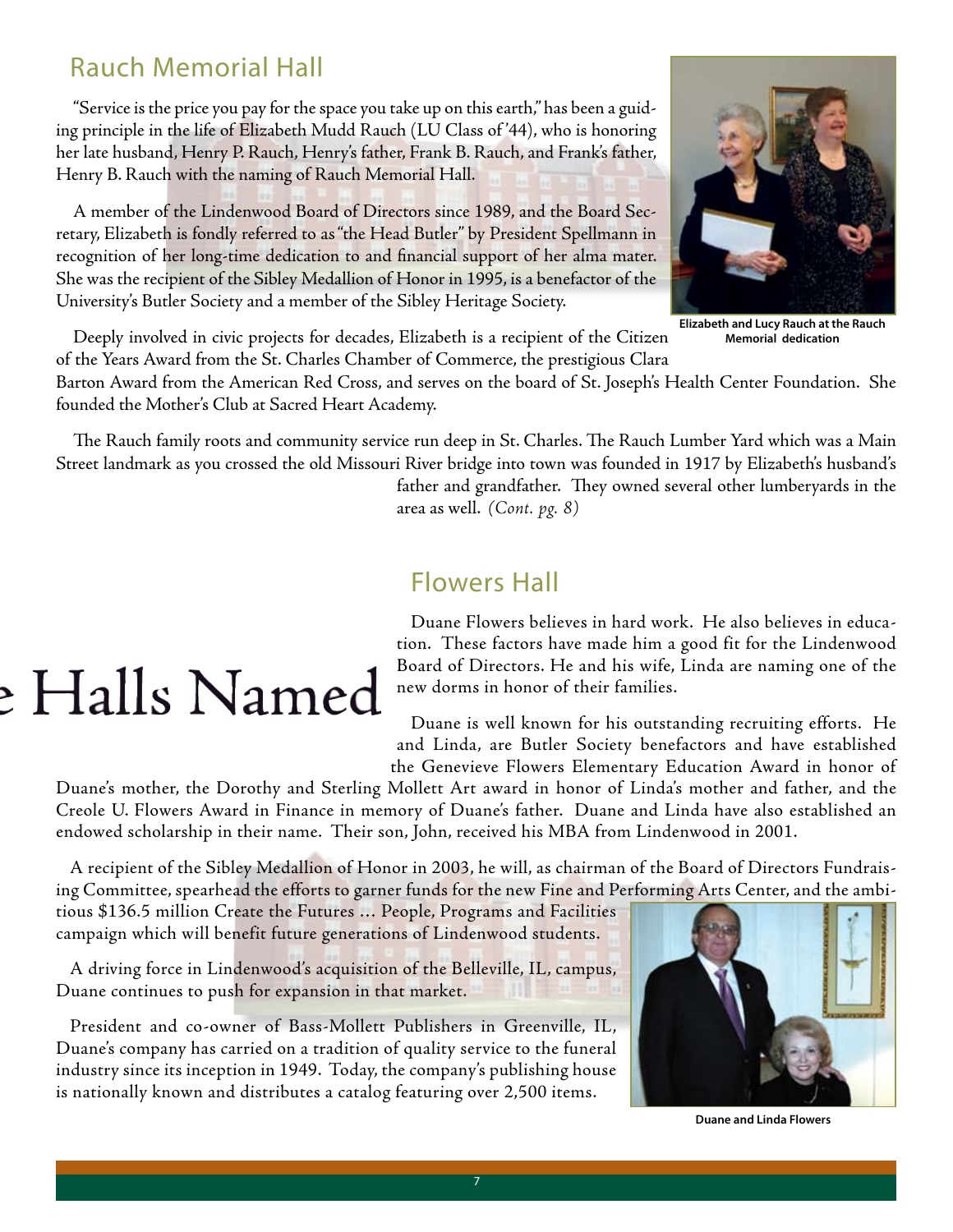#### Rauch Memorial Hall

"Service is the price you pay for the space you take up on this earth," has been a guiding principle in the life of Elizabeth Mudd Rauch (LU Class of '44), who is honoring her late husband, Henry P. Rauch, Henry's father, Frank B. Rauch, and Frank's father, Henry B. Rauch with the naming of Rauch Memorial Hall.

A member of the Lindenwood Board of Directors since 1989, and the Board Secretary, Elizabeth is fondly referred to as "the Head Butler" by President Spellmann in recognition of her long-time dedication to and financial support of her alma mater. She was the recipient of the Sibley Medallion of Honor in 1995, is a benefactor of the University's Butler Society and a member of the Sibley Heritage Society.



**Elizabeth and Lucy Rauch at the Rauch Memorial dedication**

Deeply involved in civic projects for decades, Elizabeth is a recipient of the Citizen of the Years Award from the St. Charles Chamber of Commerce, the prestigious Clara

Barton Award from the American Red Cross, and serves on the board of St. Joseph's Health Center Foundation. She founded the Mother's Club at Sacred Heart Academy.

The Rauch family roots and community service run deep in St. Charles. The Rauch Lumber Yard which was a Main Street landmark as you crossed the old Missouri River bridge into town was founded in 1917 by Elizabeth's husband's father and grandfather. They owned several other lumberyards in the

area as well. *(Cont. pg. 8)*

#### Flowers Hall

# ! Halls Named

Duane Flowers believes in hard work. He also believes in education. These factors have made him a good fit for the Lindenwood Board of Directors. He and his wife, Linda are naming one of the new dorms in honor of their families.

Duane is well known for his outstanding recruiting efforts. He and Linda, are Butler Society benefactors and have established the Genevieve Flowers Elementary Education Award in honor of

Duane's mother, the Dorothy and Sterling Mollett Art award in honor of Linda's mother and father, and the Creole U. Flowers Award in Finance in memory of Duane's father. Duane and Linda have also established an endowed scholarship in their name. Their son, John, received his MBA from Lindenwood in 2001.

A recipient of the Sibley Medallion of Honor in 2003, he will, as chairman of the Board of Directors Fundraising Committee, spearhead the efforts to garner funds for the new Fine and Performing Arts Center, and the ambi-

tious \$136.5 million Create the Futures … People, Programs and Facilities campaign which will benefit future generations of Lindenwood students.

A driving force in Lindenwood's acquisition of the Belleville, IL, campus, Duane continues to push for expansion in that market.

President and co-owner of Bass-Mollett Publishers in Greenville, IL, Duane's company has carried on a tradition of quality service to the funeral industry since its inception in 1949. Today, the company's publishing house is nationally known and distributes a catalog featuring over 2,500 items.



**Duane and Linda Flowers**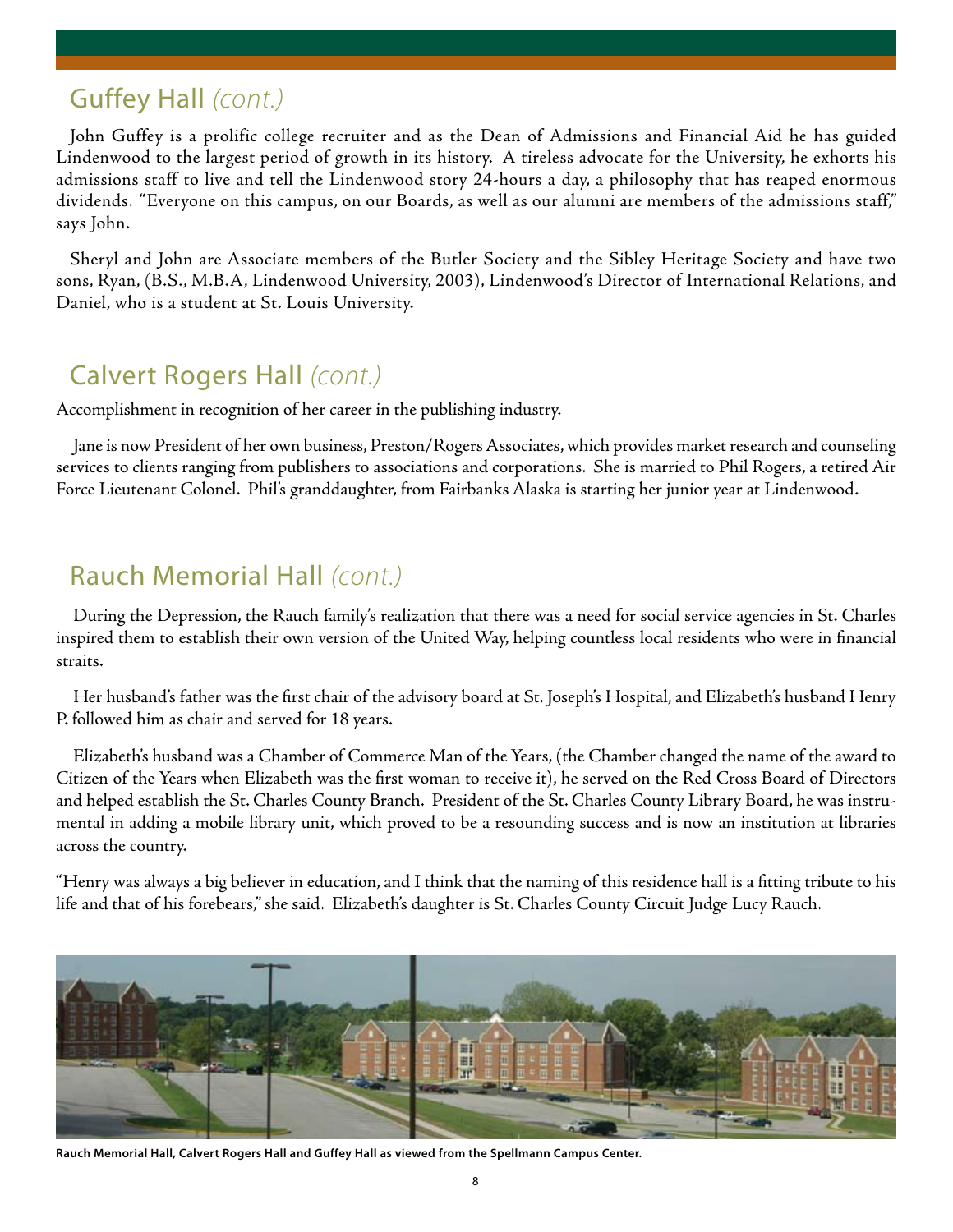### Guffey Hall *(cont.)*

John Guffey is a prolific college recruiter and as the Dean of Admissions and Financial Aid he has guided Lindenwood to the largest period of growth in its history. A tireless advocate for the University, he exhorts his admissions staff to live and tell the Lindenwood story 24-hours a day, a philosophy that has reaped enormous dividends. "Everyone on this campus, on our Boards, as well as our alumni are members of the admissions staff," says John.

Sheryl and John are Associate members of the Butler Society and the Sibley Heritage Society and have two sons, Ryan, (B.S., M.B.A, Lindenwood University, 2003), Lindenwood's Director of International Relations, and Daniel, who is a student at St. Louis University.

### Calvert Rogers Hall *(cont.)*

Accomplishment in recognition of her career in the publishing industry.

Jane is now President of her own business, Preston/Rogers Associates, which provides market research and counseling services to clients ranging from publishers to associations and corporations. She is married to Phil Rogers, a retired Air Force Lieutenant Colonel. Phil's granddaughter, from Fairbanks Alaska is starting her junior year at Lindenwood.

#### Rauch Memorial Hall *(cont.)*

During the Depression, the Rauch family's realization that there was a need for social service agencies in St. Charles inspired them to establish their own version of the United Way, helping countless local residents who were in financial straits.

Her husband's father was the first chair of the advisory board at St. Joseph's Hospital, and Elizabeth's husband Henry P. followed him as chair and served for 18 years.

Elizabeth's husband was a Chamber of Commerce Man of the Years, (the Chamber changed the name of the award to Citizen of the Years when Elizabeth was the first woman to receive it), he served on the Red Cross Board of Directors and helped establish the St. Charles County Branch. President of the St. Charles County Library Board, he was instrumental in adding a mobile library unit, which proved to be a resounding success and is now an institution at libraries across the country.

"Henry was always a big believer in education, and I think that the naming of this residence hall is a fitting tribute to his life and that of his forebears," she said. Elizabeth's daughter is St. Charles County Circuit Judge Lucy Rauch.



**Rauch Memorial Hall, Calvert Rogers Hall and Guffey Hall as viewed from the Spellmann Campus Center.**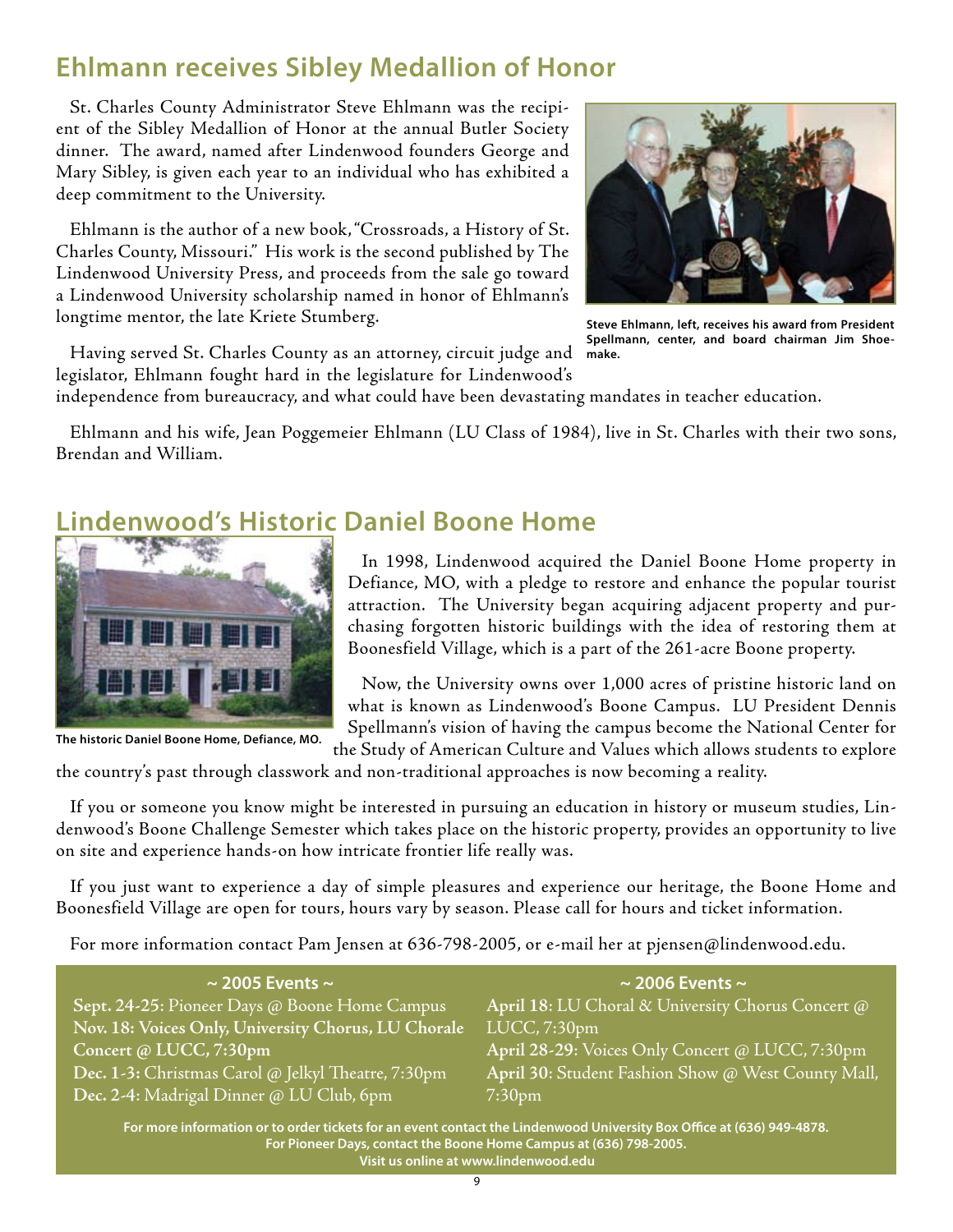### **Ehlmann receives Sibley Medallion of Honor**

St. Charles County Administrator Steve Ehlmann was the recipient of the Sibley Medallion of Honor at the annual Butler Society dinner. The award, named after Lindenwood founders George and Mary Sibley, is given each year to an individual who has exhibited a deep commitment to the University.

Ehlmann is the author of a new book, "Crossroads, a History of St. Charles County, Missouri." His work is the second published by The Lindenwood University Press, and proceeds from the sale go toward a Lindenwood University scholarship named in honor of Ehlmann's longtime mentor, the late Kriete Stumberg.



**Steve Ehlmann, left, receives his award from President Spellmann, center, and board chairman Jim Shoemake.**

Having served St. Charles County as an attorney, circuit judge and legislator, Ehlmann fought hard in the legislature for Lindenwood's

independence from bureaucracy, and what could have been devastating mandates in teacher education.

Ehlmann and his wife, Jean Poggemeier Ehlmann (LU Class of 1984), live in St. Charles with their two sons, Brendan and William.

### **Lindenwood's Historic Daniel Boone Home**



**The historic Daniel Boone Home, Defiance, MO.**

In 1998, Lindenwood acquired the Daniel Boone Home property in Defiance, MO, with a pledge to restore and enhance the popular tourist attraction. The University began acquiring adjacent property and purchasing forgotten historic buildings with the idea of restoring them at Boonesfield Village, which is a part of the 261-acre Boone property.

Now, the University owns over 1,000 acres of pristine historic land on what is known as Lindenwood's Boone Campus. LU President Dennis Spellmann's vision of having the campus become the National Center for the Study of American Culture and Values which allows students to explore

the country's past through classwork and non-traditional approaches is now becoming a reality.

If you or someone you know might be interested in pursuing an education in history or museum studies, Lindenwood's Boone Challenge Semester which takes place on the historic property, provides an opportunity to live on site and experience hands-on how intricate frontier life really was.

If you just want to experience a day of simple pleasures and experience our heritage, the Boone Home and Boonesfield Village are open for tours, hours vary by season. Please call for hours and ticket information.

For more information contact Pam Jensen at 636-798-2005, or e-mail her at pjensen@lindenwood.edu.

| $\sim$ 2005 Events $\sim$                                                                                            | $\sim$ 2006 Events $\sim$                          |
|----------------------------------------------------------------------------------------------------------------------|----------------------------------------------------|
| Sept. 24-25: Pioneer Days @ Boone Home Campus                                                                        | April 18: LU Choral & University Chorus Concert @  |
| Nov. 18: Voices Only, University Chorus, LU Chorale                                                                  | LUCC, 7:30 <sub>pm</sub>                           |
| Concert @ LUCC, 7:30pm                                                                                               | April 28-29: Voices Only Concert @ LUCC, 7:30pm    |
| Dec. 1-3: Christmas Carol @ Jelkyl Theatre, 7:30pm                                                                   | April 30: Student Fashion Show @ West County Mall, |
| Dec. 2-4: Madrigal Dinner @ LU Club, 6pm                                                                             | $7:30$ pm                                          |
| For more information or to order tickets for an event contact the Lindenwood University Roy Office at (636) 949-4878 |                                                    |

**For more information or to order tickets for an event contact the Lindenwood University Box Office at (636) 949-4878. For Pioneer Days, contact the Boone Home Campus at (636) 798-2005. Visit us online at www.lindenwood.edu**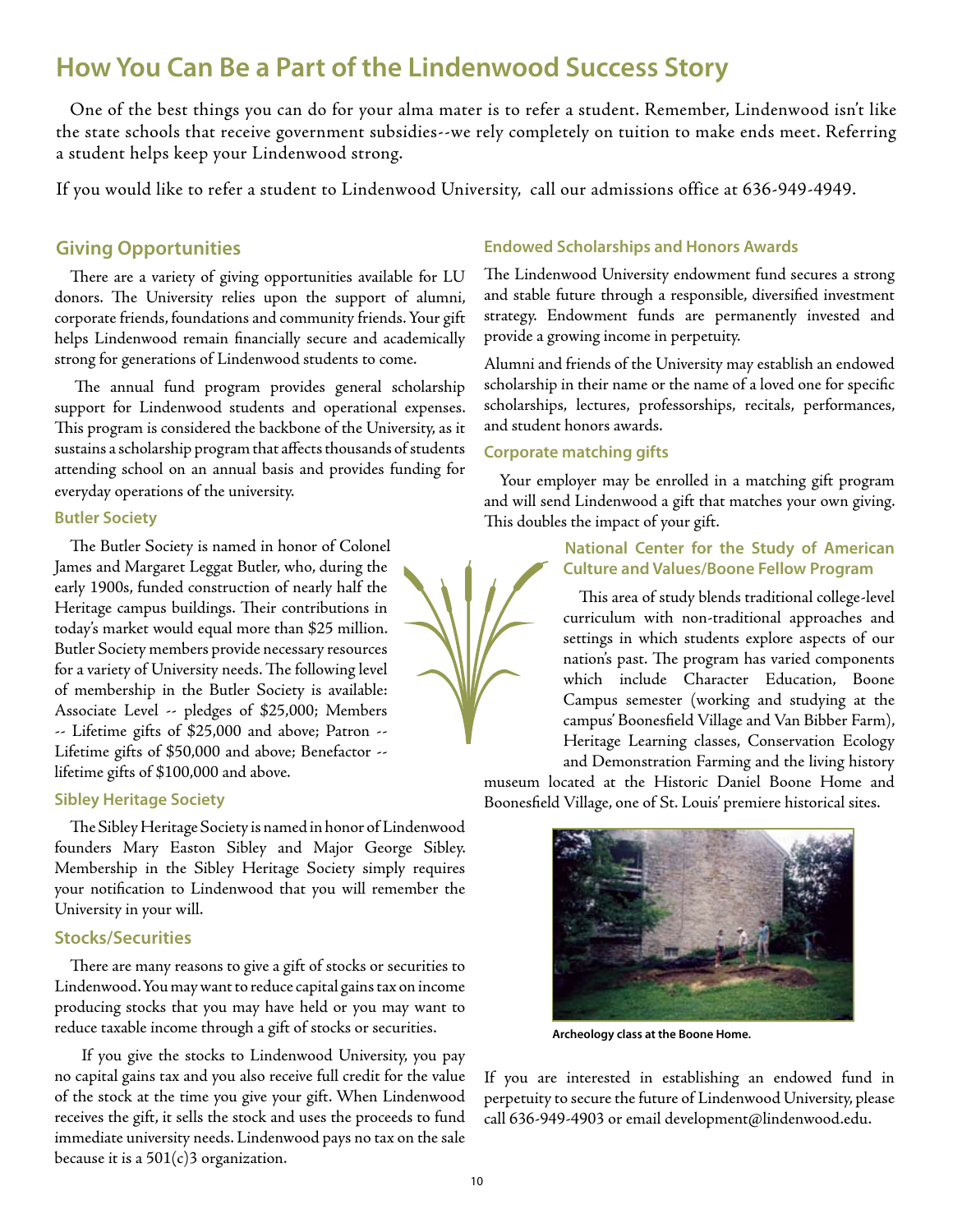### **How You Can Be a Part of the Lindenwood Success Story**

One of the best things you can do for your alma mater is to refer a student. Remember, Lindenwood isn't like the state schools that receive government subsidies--we rely completely on tuition to make ends meet. Referring a student helps keep your Lindenwood strong.

If you would like to refer a student to Lindenwood University, call our admissions office at 636-949-4949.

#### **Giving Opportunities**

There are a variety of giving opportunities available for LU donors. The University relies upon the support of alumni, corporate friends, foundations and community friends. Your gift helps Lindenwood remain financially secure and academically strong for generations of Lindenwood students to come.

 The annual fund program provides general scholarship support for Lindenwood students and operational expenses. This program is considered the backbone of the University, as it sustains a scholarship program that affects thousands of students attending school on an annual basis and provides funding for everyday operations of the university.

#### **Butler Society**

The Butler Society is named in honor of Colonel James and Margaret Leggat Butler, who, during the early 1900s, funded construction of nearly half the Heritage campus buildings. Their contributions in today's market would equal more than \$25 million. Butler Society members provide necessary resources for a variety of University needs. The following level of membership in the Butler Society is available: Associate Level -- pledges of \$25,000; Members -- Lifetime gifts of \$25,000 and above; Patron -- Lifetime gifts of \$50,000 and above; Benefactor - lifetime gifts of \$100,000 and above.

#### **Sibley Heritage Society**

The Sibley Heritage Society is named in honor of Lindenwood founders Mary Easton Sibley and Major George Sibley. Membership in the Sibley Heritage Society simply requires your notification to Lindenwood that you will remember the University in your will.

#### **Stocks/Securities**

There are many reasons to give a gift of stocks or securities to Lindenwood. You may want to reduce capital gains tax on income producing stocks that you may have held or you may want to reduce taxable income through a gift of stocks or securities.

 If you give the stocks to Lindenwood University, you pay no capital gains tax and you also receive full credit for the value of the stock at the time you give your gift. When Lindenwood receives the gift, it sells the stock and uses the proceeds to fund immediate university needs. Lindenwood pays no tax on the sale because it is a  $501(c)3$  organization.

#### **Endowed Scholarships and Honors Awards**

The Lindenwood University endowment fund secures a strong and stable future through a responsible, diversified investment strategy. Endowment funds are permanently invested and provide a growing income in perpetuity.

Alumni and friends of the University may establish an endowed scholarship in their name or the name of a loved one for specific scholarships, lectures, professorships, recitals, performances, and student honors awards.

#### **Corporate matching gifts**

Your employer may be enrolled in a matching gift program and will send Lindenwood a gift that matches your own giving. This doubles the impact of your gift.

#### **National Center for the Study of American Culture and Values/Boone Fellow Program**

This area of study blends traditional college-level curriculum with non-traditional approaches and settings in which students explore aspects of our nation's past. The program has varied components which include Character Education, Boone Campus semester (working and studying at the campus' Boonesfield Village and Van Bibber Farm), Heritage Learning classes, Conservation Ecology and Demonstration Farming and the living history

museum located at the Historic Daniel Boone Home and Boonesfield Village, one of St. Louis' premiere historical sites.



**Archeology class at the Boone Home.**

If you are interested in establishing an endowed fund in perpetuity to secure the future of Lindenwood University, please call 636-949-4903 or email development@lindenwood.edu.

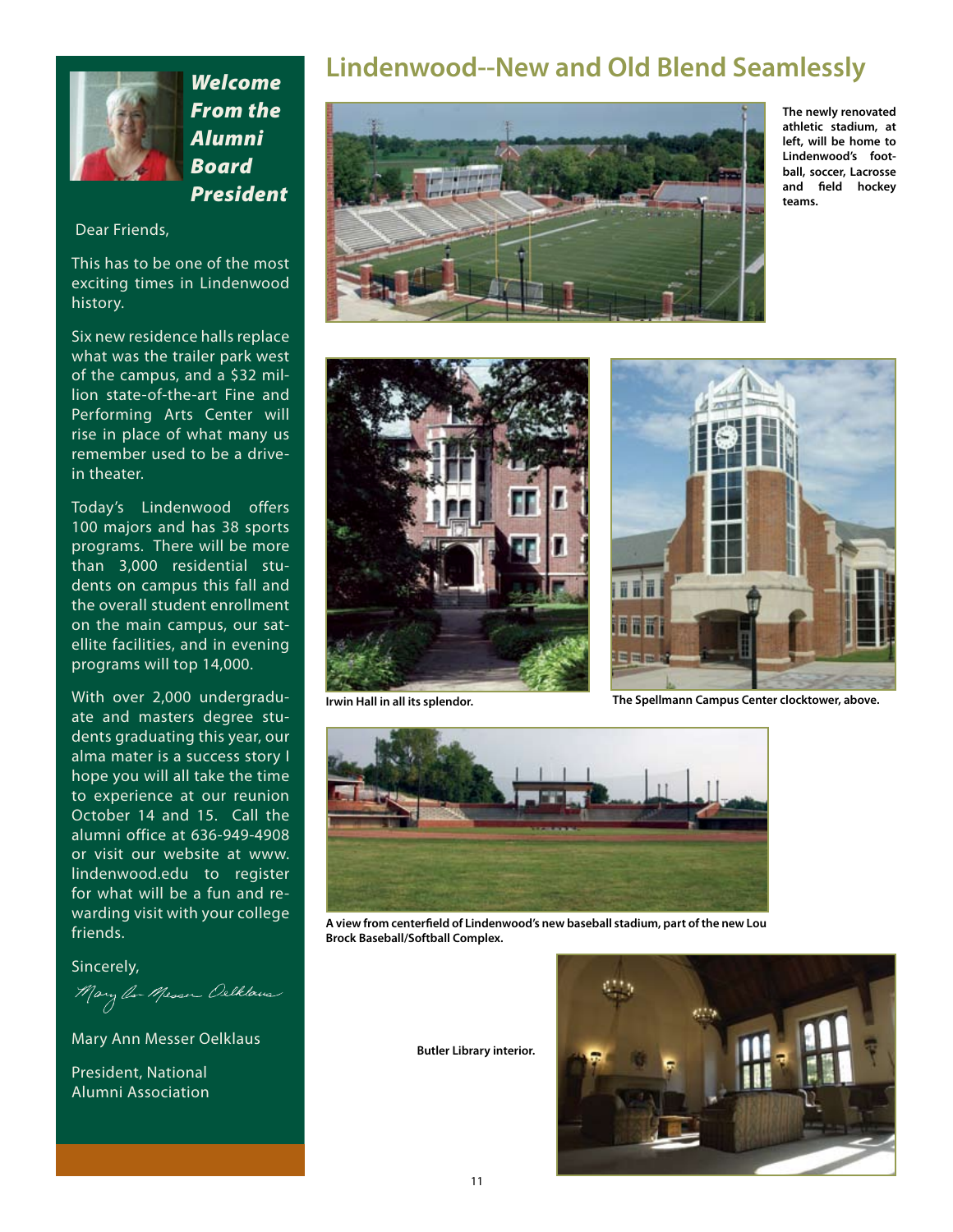

*Welcome From the Alumni Board President* 

#### Dear Friends,

This has to be one of the most exciting times in Lindenwood history.

Six new residence halls replace what was the trailer park west of the campus, and a \$32 million state-of-the-art Fine and Performing Arts Center will rise in place of what many us remember used to be a drivein theater.

Today's Lindenwood offers 100 majors and has 38 sports programs. There will be more than 3,000 residential students on campus this fall and the overall student enrollment on the main campus, our satellite facilities, and in evening programs will top 14,000.

With over 2,000 undergraduate and masters degree students graduating this year, our alma mater is a success story I hope you will all take the time to experience at our reunion October 14 and 15. Call the alumni office at 636-949-4908 or visit our website at www. lindenwood.edu to register for what will be a fun and rewarding visit with your college friends.

Sincerely,

Mary *Or Messer Delklous* 

Mary Ann Messer Oelklaus

President, National Alumni Association

#### **Lindenwood--New and Old Blend Seamlessly**



**The newly renovated athletic stadium, at left, will be home to Lindenwood's football, soccer, Lacrosse and field hockey teams.**





**Irwin Hall in all its splendor. The Spellmann Campus Center clocktower, above.**



**A view from centerfield of Lindenwood's new baseball stadium, part of the new Lou Brock Baseball/Softball Complex.**

**Butler Library interior.**